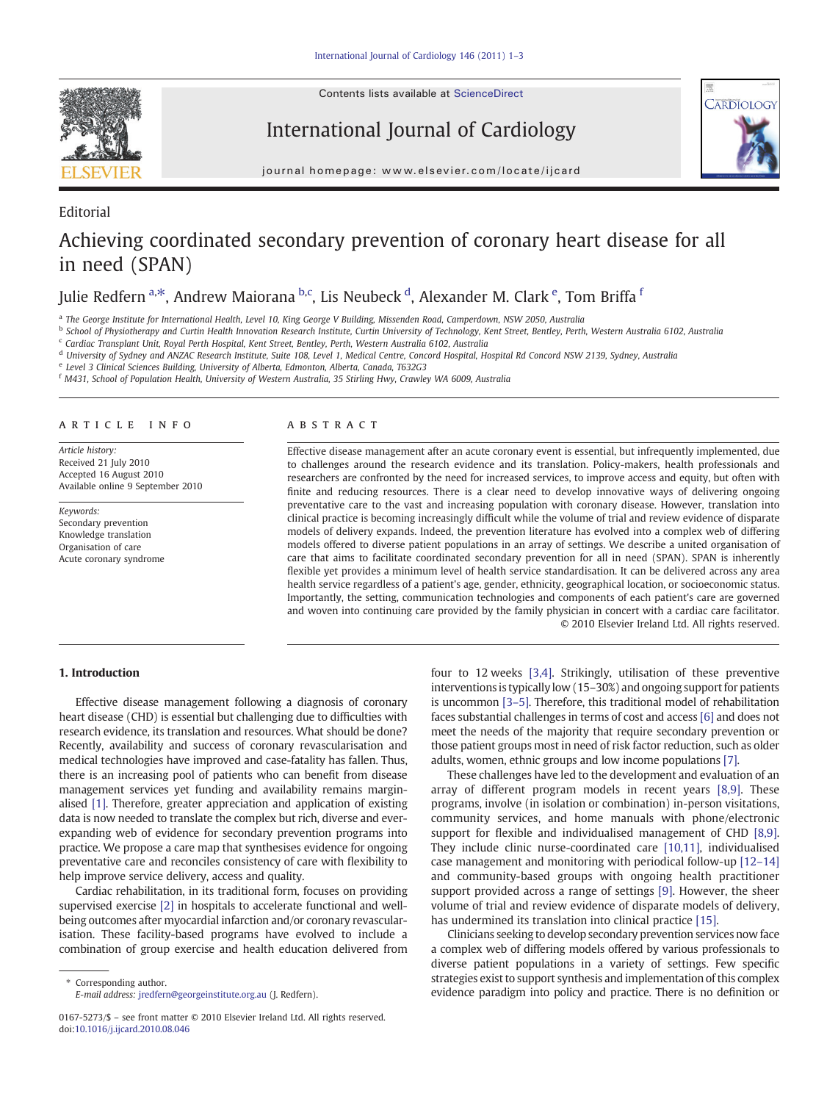Editorial

Contents lists available at ScienceDirect

International Journal of Cardiology



journal homepage: www.elsevier.com/locate/ijcard

# Achieving coordinated secondary prevention of coronary heart disease for all in need (SPAN)

## Julie Redfern <sup>a,\*</sup>, Andrew Maiorana <sup>b,c</sup>, Lis Neubeck <sup>d</sup>, Alexander M. Clark <sup>e</sup>, Tom Briffa <sup>f</sup>

a The George Institute for International Health, Level 10, King George V Building, Missenden Road, Camperdown, NSW 2050, Australia

<sup>b</sup> School of Physiotherapy and Curtin Health Innovation Research Institute, Curtin University of Technology, Kent Street, Bentley, Perth, Western Australia 6102, Australia

<sup>c</sup> Cardiac Transplant Unit, Royal Perth Hospital, Kent Street, Bentley, Perth, Western Australia 6102, Australia

<sup>d</sup> University of Sydney and ANZAC Research Institute, Suite 108, Level 1, Medical Centre, Concord Hospital, Hospital Rd Concord NSW 2139, Sydney, Australia

<sup>e</sup> Level 3 Clinical Sciences Building, University of Alberta, Edmonton, Alberta, Canada, T632G3

<sup>f</sup> M431, School of Population Health, University of Western Australia, 35 Stirling Hwy, Crawley WA 6009, Australia

#### article info abstract

Article history: Received 21 July 2010 Accepted 16 August 2010 Available online 9 September 2010

Keywords: Secondary prevention Knowledge translation Organisation of care Acute coronary syndrome

Effective disease management after an acute coronary event is essential, but infrequently implemented, due to challenges around the research evidence and its translation. Policy-makers, health professionals and researchers are confronted by the need for increased services, to improve access and equity, but often with finite and reducing resources. There is a clear need to develop innovative ways of delivering ongoing preventative care to the vast and increasing population with coronary disease. However, translation into clinical practice is becoming increasingly difficult while the volume of trial and review evidence of disparate models of delivery expands. Indeed, the prevention literature has evolved into a complex web of differing models offered to diverse patient populations in an array of settings. We describe a united organisation of care that aims to facilitate coordinated secondary prevention for all in need (SPAN). SPAN is inherently flexible yet provides a minimum level of health service standardisation. It can be delivered across any area health service regardless of a patient's age, gender, ethnicity, geographical location, or socioeconomic status. Importantly, the setting, communication technologies and components of each patient's care are governed and woven into continuing care provided by the family physician in concert with a cardiac care facilitator. © 2010 Elsevier Ireland Ltd. All rights reserved.

### 1. Introduction

Effective disease management following a diagnosis of coronary heart disease (CHD) is essential but challenging due to difficulties with research evidence, its translation and resources. What should be done? Recently, availability and success of coronary revascularisation and medical technologies have improved and case-fatality has fallen. Thus, there is an increasing pool of patients who can benefit from disease management services yet funding and availability remains marginalised [1]. Therefore, greater appreciation and application of existing data is now needed to translate the complex but rich, diverse and everexpanding web of evidence for secondary prevention programs into practice. We propose a care map that synthesises evidence for ongoing preventative care and reconciles consistency of care with flexibility to help improve service delivery, access and quality.

Cardiac rehabilitation, in its traditional form, focuses on providing supervised exercise [2] in hospitals to accelerate functional and wellbeing outcomes after myocardial infarction and/or coronary revascularisation. These facility-based programs have evolved to include a combination of group exercise and health education delivered from

Corresponding author. E-mail address: jredfern@georgeinstitute.org.au (J. Redfern). four to 12 weeks [3,4]. Strikingly, utilisation of these preventive interventions is typically low (15–30%) and ongoing support for patients is uncommon [3–5]. Therefore, this traditional model of rehabilitation faces substantial challenges in terms of cost and access [6] and does not meet the needs of the majority that require secondary prevention or those patient groups most in need of risk factor reduction, such as older adults, women, ethnic groups and low income populations [7].

These challenges have led to the development and evaluation of an array of different program models in recent years [8,9]. These programs, involve (in isolation or combination) in-person visitations, community services, and home manuals with phone/electronic support for flexible and individualised management of CHD [8,9]. They include clinic nurse-coordinated care [10,11], individualised case management and monitoring with periodical follow-up [12–14] and community-based groups with ongoing health practitioner support provided across a range of settings [9]. However, the sheer volume of trial and review evidence of disparate models of delivery, has undermined its translation into clinical practice [15].

Clinicians seeking to develop secondary prevention services now face a complex web of differing models offered by various professionals to diverse patient populations in a variety of settings. Few specific strategies exist to support synthesis and implementation of this complex evidence paradigm into policy and practice. There is no definition or

<sup>0167-5273/\$</sup> – see front matter © 2010 Elsevier Ireland Ltd. All rights reserved. doi:10.1016/j.ijcard.2010.08.046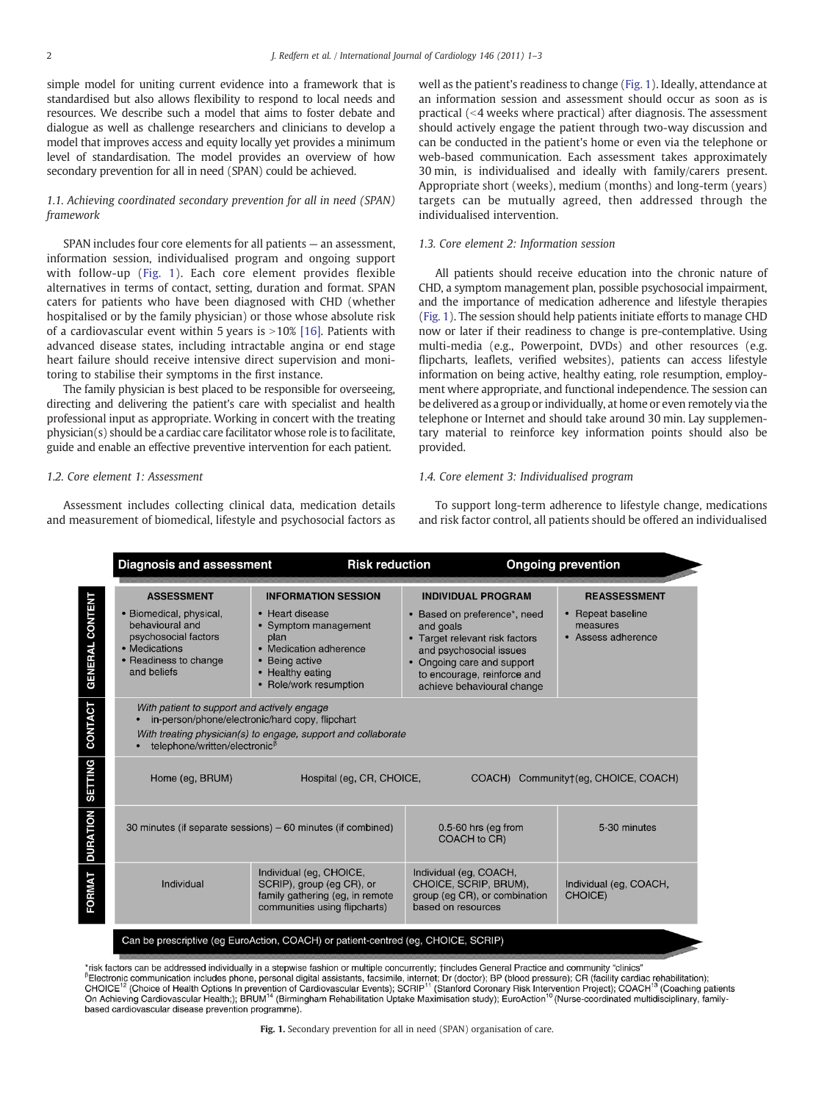simple model for uniting current evidence into a framework that is standardised but also allows flexibility to respond to local needs and resources. We describe such a model that aims to foster debate and dialogue as well as challenge researchers and clinicians to develop a model that improves access and equity locally yet provides a minimum level of standardisation. The model provides an overview of how secondary prevention for all in need (SPAN) could be achieved.

#### 1.1. Achieving coordinated secondary prevention for all in need (SPAN) framework

SPAN includes four core elements for all patients — an assessment, information session, individualised program and ongoing support with follow-up (Fig. 1). Each core element provides flexible alternatives in terms of contact, setting, duration and format. SPAN caters for patients who have been diagnosed with CHD (whether hospitalised or by the family physician) or those whose absolute risk of a cardiovascular event within 5 years is  $>10\%$  [16]. Patients with advanced disease states, including intractable angina or end stage heart failure should receive intensive direct supervision and monitoring to stabilise their symptoms in the first instance.

The family physician is best placed to be responsible for overseeing, directing and delivering the patient's care with specialist and health professional input as appropriate. Working in concert with the treating physician(s) should be a cardiac care facilitator whose role is to facilitate, guide and enable an effective preventive intervention for each patient.

#### 1.2. Core element 1: Assessment

Assessment includes collecting clinical data, medication details and measurement of biomedical, lifestyle and psychosocial factors as well as the patient's readiness to change (Fig. 1). Ideally, attendance at an information session and assessment should occur as soon as is practical  $\left($  <4 weeks where practical) after diagnosis. The assessment should actively engage the patient through two-way discussion and can be conducted in the patient's home or even via the telephone or web-based communication. Each assessment takes approximately 30 min, is individualised and ideally with family/carers present. Appropriate short (weeks), medium (months) and long-term (years) targets can be mutually agreed, then addressed through the individualised intervention.

#### 1.3. Core element 2: Information session

All patients should receive education into the chronic nature of CHD, a symptom management plan, possible psychosocial impairment, and the importance of medication adherence and lifestyle therapies (Fig. 1). The session should help patients initiate efforts to manage CHD now or later if their readiness to change is pre-contemplative. Using multi-media (e.g., Powerpoint, DVDs) and other resources (e.g. flipcharts, leaflets, verified websites), patients can access lifestyle information on being active, healthy eating, role resumption, employment where appropriate, and functional independence. The session can be delivered as a group or individually, at home or even remotely via the telephone or Internet and should take around 30 min. Lay supplementary material to reinforce key information points should also be provided.

#### 1.4. Core element 3: Individualised program

To support long-term adherence to lifestyle change, medications and risk factor control, all patients should be offered an individualised

|                        | <b>Diagnosis and assessment</b>                                                                                                                                                                         | <b>Risk reduction</b>                                                                                                                                                   |                                                                                                                                                                                                                                | <b>Ongoing prevention</b>                                                  |
|------------------------|---------------------------------------------------------------------------------------------------------------------------------------------------------------------------------------------------------|-------------------------------------------------------------------------------------------------------------------------------------------------------------------------|--------------------------------------------------------------------------------------------------------------------------------------------------------------------------------------------------------------------------------|----------------------------------------------------------------------------|
| <b>GENERAL CONTENT</b> | <b>ASSESSMENT</b><br>• Biomedical, physical,<br>behavioural and<br>psychosocial factors<br>• Medications<br>• Readiness to change<br>and beliefs                                                        | <b>INFORMATION SESSION</b><br>• Heart disease<br>• Symptom management<br>plan<br>• Medication adherence<br>• Being active<br>• Healthy eating<br>• Role/work resumption | <b>INDIVIDUAL PROGRAM</b><br>• Based on preference*, need<br>and goals<br>• Target relevant risk factors<br>and psychosocial issues<br>• Ongoing care and support<br>to encourage, reinforce and<br>achieve behavioural change | <b>REASSESSMENT</b><br>• Repeat baseline<br>measures<br>• Assess adherence |
| CONTACT                | With patient to support and actively engage<br>in-person/phone/electronic/hard copy, flipchart<br>With treating physician(s) to engage, support and collaborate<br>telephone/written/electronic $\beta$ |                                                                                                                                                                         |                                                                                                                                                                                                                                |                                                                            |
| <b>SETTING</b>         | Hospital (eq. CR, CHOICE,<br>Home (eq, BRUM)<br>COACH) Community†(eq. CHOICE, COACH)                                                                                                                    |                                                                                                                                                                         |                                                                                                                                                                                                                                |                                                                            |
| <b>DURATION</b>        | 30 minutes (if separate sessions) – 60 minutes (if combined)                                                                                                                                            |                                                                                                                                                                         | $0.5-60$ hrs (eg from<br><b>COACH</b> to CR)                                                                                                                                                                                   | 5-30 minutes                                                               |
| FORMAT                 | Individual                                                                                                                                                                                              | Individual (eq. CHOICE,<br>SCRIP), group (eg CR), or<br>family gathering (eg, in remote<br>communities using flipcharts)                                                | Individual (eq. COACH,<br>CHOICE, SCRIP, BRUM),<br>group (eg CR), or combination<br>based on resources                                                                                                                         | Individual (eg, COACH,<br>CHOICE)                                          |
|                        |                                                                                                                                                                                                         | Can be prescriptive (eg EuroAction, COACH) or patient-centred (eg, CHOICE, SCRIP)                                                                                       |                                                                                                                                                                                                                                |                                                                            |

tisk factors can be addressed individually in a stepwise fashion or multiple concurrently; †includes General Practice and community "clinics", <sup>B</sup>Electronic communication includes phone, personal digital assistants, facsimile, internet; Dr (doctor); BP (blood pressure); CR (facility cardiac rehabilitation);<br>CHOICE<sup>12</sup> (Choice of Health Options In prevention of Ca On Achieving Cardiovascular Health;); BRUM<sup>14</sup> (Birmingham Rehabilitation Uptake Maximisation study); EuroAction<sup>10</sup> (Nurse-coordinated multidisciplinary, familybased cardiovascular disease prevention programme).